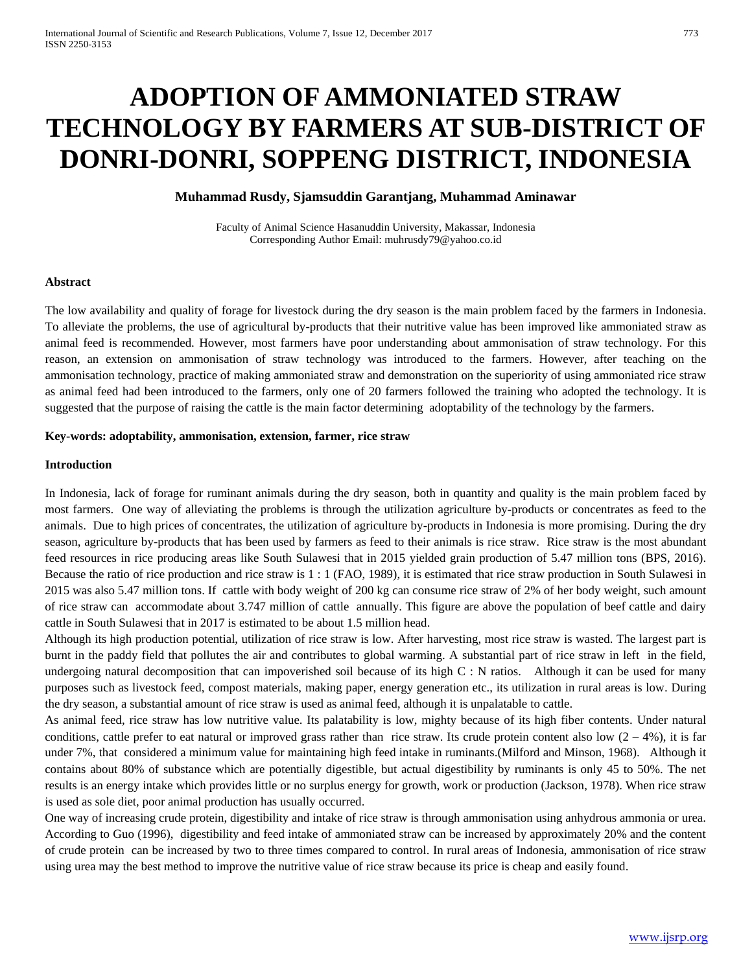# **ADOPTION OF AMMONIATED STRAW TECHNOLOGY BY FARMERS AT SUB-DISTRICT OF DONRI-DONRI, SOPPENG DISTRICT, INDONESIA**

# **Muhammad Rusdy, Sjamsuddin Garantjang, Muhammad Aminawar**

Faculty of Animal Science Hasanuddin University, Makassar, Indonesia Corresponding Author Email: muhrusdy79@yahoo.co.id

## **Abstract**

The low availability and quality of forage for livestock during the dry season is the main problem faced by the farmers in Indonesia. To alleviate the problems, the use of agricultural by-products that their nutritive value has been improved like ammoniated straw as animal feed is recommended. However, most farmers have poor understanding about ammonisation of straw technology. For this reason, an extension on ammonisation of straw technology was introduced to the farmers. However, after teaching on the ammonisation technology, practice of making ammoniated straw and demonstration on the superiority of using ammoniated rice straw as animal feed had been introduced to the farmers, only one of 20 farmers followed the training who adopted the technology. It is suggested that the purpose of raising the cattle is the main factor determining adoptability of the technology by the farmers.

#### **Key-words: adoptability, ammonisation, extension, farmer, rice straw**

#### **Introduction**

In Indonesia, lack of forage for ruminant animals during the dry season, both in quantity and quality is the main problem faced by most farmers. One way of alleviating the problems is through the utilization agriculture by-products or concentrates as feed to the animals. Due to high prices of concentrates, the utilization of agriculture by-products in Indonesia is more promising. During the dry season, agriculture by-products that has been used by farmers as feed to their animals is rice straw. Rice straw is the most abundant feed resources in rice producing areas like South Sulawesi that in 2015 yielded grain production of 5.47 million tons (BPS, 2016). Because the ratio of rice production and rice straw is 1 : 1 (FAO, 1989), it is estimated that rice straw production in South Sulawesi in 2015 was also 5.47 million tons. If cattle with body weight of 200 kg can consume rice straw of 2% of her body weight, such amount of rice straw can accommodate about 3.747 million of cattle annually. This figure are above the population of beef cattle and dairy cattle in South Sulawesi that in 2017 is estimated to be about 1.5 million head.

Although its high production potential, utilization of rice straw is low. After harvesting, most rice straw is wasted. The largest part is burnt in the paddy field that pollutes the air and contributes to global warming. A substantial part of rice straw in left in the field, undergoing natural decomposition that can impoverished soil because of its high  $C : N$  ratios. Although it can be used for many purposes such as livestock feed, compost materials, making paper, energy generation etc., its utilization in rural areas is low. During the dry season, a substantial amount of rice straw is used as animal feed, although it is unpalatable to cattle.

As animal feed, rice straw has low nutritive value. Its palatability is low, mighty because of its high fiber contents. Under natural conditions, cattle prefer to eat natural or improved grass rather than rice straw. Its crude protein content also low  $(2 - 4\%)$ , it is far under 7%, that considered a minimum value for maintaining high feed intake in ruminants.(Milford and Minson, 1968). Although it contains about 80% of substance which are potentially digestible, but actual digestibility by ruminants is only 45 to 50%. The net results is an energy intake which provides little or no surplus energy for growth, work or production (Jackson, 1978). When rice straw is used as sole diet, poor animal production has usually occurred.

One way of increasing crude protein, digestibility and intake of rice straw is through ammonisation using anhydrous ammonia or urea. According to Guo (1996), digestibility and feed intake of ammoniated straw can be increased by approximately 20% and the content of crude protein can be increased by two to three times compared to control. In rural areas of Indonesia, ammonisation of rice straw using urea may the best method to improve the nutritive value of rice straw because its price is cheap and easily found.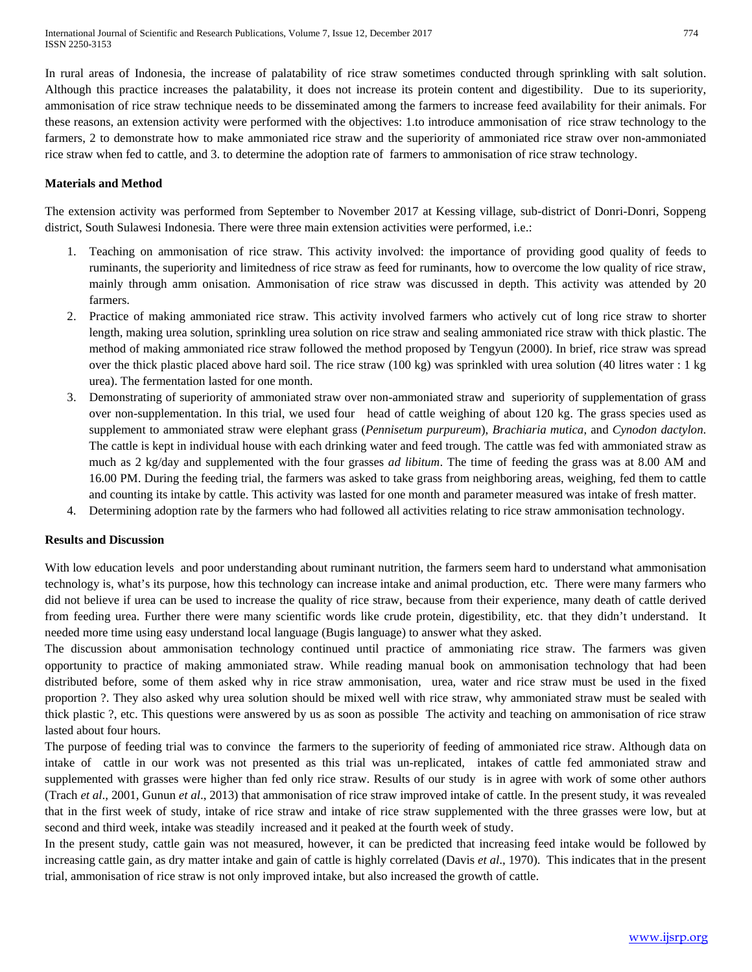In rural areas of Indonesia, the increase of palatability of rice straw sometimes conducted through sprinkling with salt solution. Although this practice increases the palatability, it does not increase its protein content and digestibility. Due to its superiority, ammonisation of rice straw technique needs to be disseminated among the farmers to increase feed availability for their animals. For these reasons, an extension activity were performed with the objectives: 1.to introduce ammonisation of rice straw technology to the farmers, 2 to demonstrate how to make ammoniated rice straw and the superiority of ammoniated rice straw over non-ammoniated rice straw when fed to cattle, and 3. to determine the adoption rate of farmers to ammonisation of rice straw technology.

## **Materials and Method**

The extension activity was performed from September to November 2017 at Kessing village, sub-district of Donri-Donri, Soppeng district, South Sulawesi Indonesia. There were three main extension activities were performed, i.e.:

- 1. Teaching on ammonisation of rice straw. This activity involved: the importance of providing good quality of feeds to ruminants, the superiority and limitedness of rice straw as feed for ruminants, how to overcome the low quality of rice straw, mainly through amm onisation. Ammonisation of rice straw was discussed in depth. This activity was attended by 20 farmers.
- 2. Practice of making ammoniated rice straw. This activity involved farmers who actively cut of long rice straw to shorter length, making urea solution, sprinkling urea solution on rice straw and sealing ammoniated rice straw with thick plastic. The method of making ammoniated rice straw followed the method proposed by Tengyun (2000). In brief, rice straw was spread over the thick plastic placed above hard soil. The rice straw (100 kg) was sprinkled with urea solution (40 litres water : 1 kg urea). The fermentation lasted for one month.
- 3. Demonstrating of superiority of ammoniated straw over non-ammoniated straw and superiority of supplementation of grass over non-supplementation. In this trial, we used four head of cattle weighing of about 120 kg. The grass species used as supplement to ammoniated straw were elephant grass (*Pennisetum purpureum*), *Brachiaria mutica*, and *Cynodon dactylon*. The cattle is kept in individual house with each drinking water and feed trough. The cattle was fed with ammoniated straw as much as 2 kg/day and supplemented with the four grasses *ad libitum*. The time of feeding the grass was at 8.00 AM and 16.00 PM. During the feeding trial, the farmers was asked to take grass from neighboring areas, weighing, fed them to cattle and counting its intake by cattle. This activity was lasted for one month and parameter measured was intake of fresh matter.
- 4. Determining adoption rate by the farmers who had followed all activities relating to rice straw ammonisation technology.

## **Results and Discussion**

With low education levels and poor understanding about ruminant nutrition, the farmers seem hard to understand what ammonisation technology is, what's its purpose, how this technology can increase intake and animal production, etc. There were many farmers who did not believe if urea can be used to increase the quality of rice straw, because from their experience, many death of cattle derived from feeding urea. Further there were many scientific words like crude protein, digestibility, etc. that they didn't understand. It needed more time using easy understand local language (Bugis language) to answer what they asked.

The discussion about ammonisation technology continued until practice of ammoniating rice straw. The farmers was given opportunity to practice of making ammoniated straw. While reading manual book on ammonisation technology that had been distributed before, some of them asked why in rice straw ammonisation, urea, water and rice straw must be used in the fixed proportion ?. They also asked why urea solution should be mixed well with rice straw, why ammoniated straw must be sealed with thick plastic ?, etc. This questions were answered by us as soon as possible The activity and teaching on ammonisation of rice straw lasted about four hours.

The purpose of feeding trial was to convince the farmers to the superiority of feeding of ammoniated rice straw. Although data on intake of cattle in our work was not presented as this trial was un-replicated, intakes of cattle fed ammoniated straw and supplemented with grasses were higher than fed only rice straw. Results of our study is in agree with work of some other authors (Trach *et al*., 2001, Gunun *et al*., 2013) that ammonisation of rice straw improved intake of cattle. In the present study, it was revealed that in the first week of study, intake of rice straw and intake of rice straw supplemented with the three grasses were low, but at second and third week, intake was steadily increased and it peaked at the fourth week of study.

In the present study, cattle gain was not measured, however, it can be predicted that increasing feed intake would be followed by increasing cattle gain, as dry matter intake and gain of cattle is highly correlated (Davis *et al*., 1970). This indicates that in the present trial, ammonisation of rice straw is not only improved intake, but also increased the growth of cattle.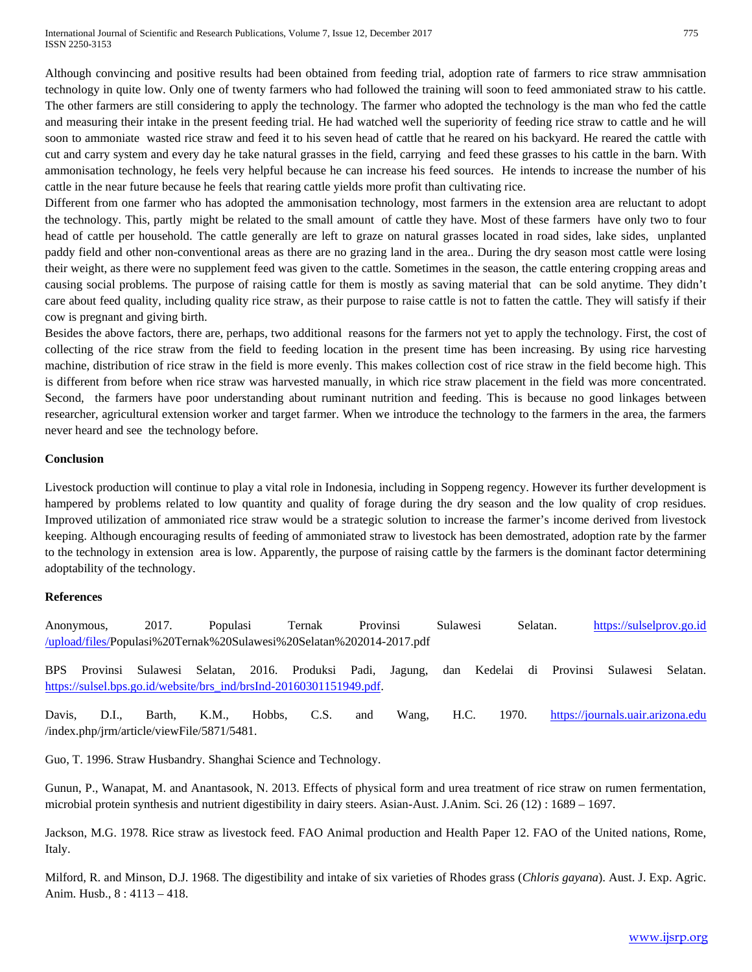International Journal of Scientific and Research Publications, Volume 7, Issue 12, December 2017 775 ISSN 2250-3153

Although convincing and positive results had been obtained from feeding trial, adoption rate of farmers to rice straw ammnisation technology in quite low. Only one of twenty farmers who had followed the training will soon to feed ammoniated straw to his cattle. The other farmers are still considering to apply the technology. The farmer who adopted the technology is the man who fed the cattle and measuring their intake in the present feeding trial. He had watched well the superiority of feeding rice straw to cattle and he will soon to ammoniate wasted rice straw and feed it to his seven head of cattle that he reared on his backyard. He reared the cattle with cut and carry system and every day he take natural grasses in the field, carrying and feed these grasses to his cattle in the barn. With ammonisation technology, he feels very helpful because he can increase his feed sources. He intends to increase the number of his cattle in the near future because he feels that rearing cattle yields more profit than cultivating rice.

Different from one farmer who has adopted the ammonisation technology, most farmers in the extension area are reluctant to adopt the technology. This, partly might be related to the small amount of cattle they have. Most of these farmers have only two to four head of cattle per household. The cattle generally are left to graze on natural grasses located in road sides, lake sides, unplanted paddy field and other non-conventional areas as there are no grazing land in the area.. During the dry season most cattle were losing their weight, as there were no supplement feed was given to the cattle. Sometimes in the season, the cattle entering cropping areas and causing social problems. The purpose of raising cattle for them is mostly as saving material that can be sold anytime. They didn't care about feed quality, including quality rice straw, as their purpose to raise cattle is not to fatten the cattle. They will satisfy if their cow is pregnant and giving birth.

Besides the above factors, there are, perhaps, two additional reasons for the farmers not yet to apply the technology. First, the cost of collecting of the rice straw from the field to feeding location in the present time has been increasing. By using rice harvesting machine, distribution of rice straw in the field is more evenly. This makes collection cost of rice straw in the field become high. This is different from before when rice straw was harvested manually, in which rice straw placement in the field was more concentrated. Second, the farmers have poor understanding about ruminant nutrition and feeding. This is because no good linkages between researcher, agricultural extension worker and target farmer. When we introduce the technology to the farmers in the area, the farmers never heard and see the technology before.

#### **Conclusion**

Livestock production will continue to play a vital role in Indonesia, including in Soppeng regency. However its further development is hampered by problems related to low quantity and quality of forage during the dry season and the low quality of crop residues. Improved utilization of ammoniated rice straw would be a strategic solution to increase the farmer's income derived from livestock keeping. Although encouraging results of feeding of ammoniated straw to livestock has been demostrated, adoption rate by the farmer to the technology in extension area is low. Apparently, the purpose of raising cattle by the farmers is the dominant factor determining adoptability of the technology.

## **References**

Anonymous, 2017. Populasi Ternak Provinsi Sulawesi Selatan. https://sulselprov.go.id /upload/files/Populasi%20Ternak%20Sulawesi%20Selatan%202014-2017.pdf

BPS Provinsi Sulawesi Selatan, 2016. Produksi Padi, Jagung, dan Kedelai di Provinsi Sulawesi Selatan. [https://sulsel.bps.go.id/website/brs\\_ind/brsInd-20160301151949.pdf.](https://sulsel.bps.go.id/website/brs_ind/brsInd-20160301151949.pdf)

Davis, D.I., Barth, K.M., Hobbs, C.S. and Wang, H.C. 1970. [https://journals.uair.arizona.edu](https://journals.uair.arizona.edu/) /index.php/jrm/article/viewFile/5871/5481.

Guo, T. 1996. Straw Husbandry. Shanghai Science and Technology.

Gunun, P., Wanapat, M. and Anantasook, N. 2013. Effects of physical form and urea treatment of rice straw on rumen fermentation, microbial protein synthesis and nutrient digestibility in dairy steers. Asian-Aust. J.Anim. Sci. 26 (12) : 1689 – 1697.

Jackson, M.G. 1978. Rice straw as livestock feed. FAO Animal production and Health Paper 12. FAO of the United nations, Rome, Italy.

Milford, R. and Minson, D.J. 1968. The digestibility and intake of six varieties of Rhodes grass (*Chloris gayana*). Aust. J. Exp. Agric. Anim. Husb., 8 : 4113 – 418.